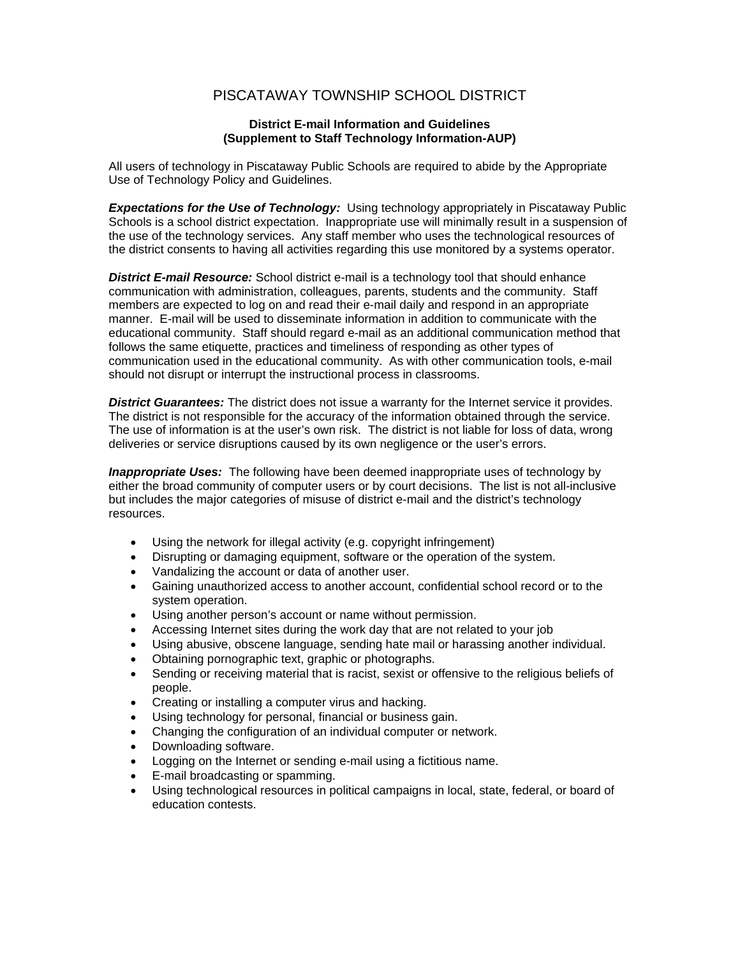## PISCATAWAY TOWNSHIP SCHOOL DISTRICT

## **District E-mail Information and Guidelines (Supplement to Staff Technology Information-AUP)**

All users of technology in Piscataway Public Schools are required to abide by the Appropriate Use of Technology Policy and Guidelines.

**Expectations for the Use of Technology:** Using technology appropriately in Piscataway Public Schools is a school district expectation. Inappropriate use will minimally result in a suspension of the use of the technology services. Any staff member who uses the technological resources of the district consents to having all activities regarding this use monitored by a systems operator.

*District E-mail Resource:* School district e-mail is a technology tool that should enhance communication with administration, colleagues, parents, students and the community. Staff members are expected to log on and read their e-mail daily and respond in an appropriate manner. E-mail will be used to disseminate information in addition to communicate with the educational community. Staff should regard e-mail as an additional communication method that follows the same etiquette, practices and timeliness of responding as other types of communication used in the educational community. As with other communication tools, e-mail should not disrupt or interrupt the instructional process in classrooms.

*District Guarantees:* The district does not issue a warranty for the Internet service it provides. The district is not responsible for the accuracy of the information obtained through the service. The use of information is at the user's own risk. The district is not liable for loss of data, wrong deliveries or service disruptions caused by its own negligence or the user's errors.

*Inappropriate Uses:* The following have been deemed inappropriate uses of technology by either the broad community of computer users or by court decisions. The list is not all-inclusive but includes the major categories of misuse of district e-mail and the district's technology resources.

- Using the network for illegal activity (e.g. copyright infringement)
- Disrupting or damaging equipment, software or the operation of the system.
- Vandalizing the account or data of another user.
- Gaining unauthorized access to another account, confidential school record or to the system operation.
- Using another person's account or name without permission.
- Accessing Internet sites during the work day that are not related to your job
- Using abusive, obscene language, sending hate mail or harassing another individual.
- Obtaining pornographic text, graphic or photographs.
- Sending or receiving material that is racist, sexist or offensive to the religious beliefs of people.
- Creating or installing a computer virus and hacking.
- Using technology for personal, financial or business gain.
- Changing the configuration of an individual computer or network.
- Downloading software.
- Logging on the Internet or sending e-mail using a fictitious name.
- E-mail broadcasting or spamming.
- Using technological resources in political campaigns in local, state, federal, or board of education contests.